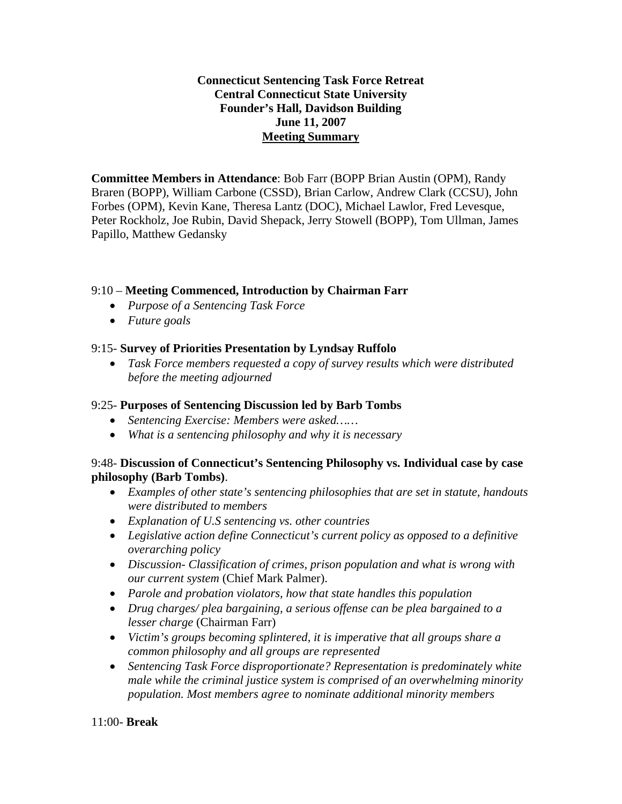## **Connecticut Sentencing Task Force Retreat Central Connecticut State University Founder's Hall, Davidson Building June 11, 2007 Meeting Summary**

**Committee Members in Attendance**: Bob Farr (BOPP Brian Austin (OPM), Randy Braren (BOPP), William Carbone (CSSD), Brian Carlow, Andrew Clark (CCSU), John Forbes (OPM), Kevin Kane, Theresa Lantz (DOC), Michael Lawlor, Fred Levesque, Peter Rockholz, Joe Rubin, David Shepack, Jerry Stowell (BOPP), Tom Ullman, James Papillo, Matthew Gedansky

## 9:10 – **Meeting Commenced, Introduction by Chairman Farr**

- *Purpose of a Sentencing Task Force*
- *Future goals*

#### 9:15- **Survey of Priorities Presentation by Lyndsay Ruffolo**

• *Task Force members requested a copy of survey results which were distributed before the meeting adjourned* 

## 9:25- **Purposes of Sentencing Discussion led by Barb Tombs**

- *Sentencing Exercise: Members were asked……*
- *What is a sentencing philosophy and why it is necessary*

#### 9:48- **Discussion of Connecticut's Sentencing Philosophy vs. Individual case by case philosophy (Barb Tombs)**.

- *Examples of other state's sentencing philosophies that are set in statute, handouts were distributed to members*
- *Explanation of U.S sentencing vs. other countries*
- *Legislative action define Connecticut's current policy as opposed to a definitive overarching policy*
- *Discussion- Classification of crimes, prison population and what is wrong with our current system* (Chief Mark Palmer).
- *Parole and probation violators, how that state handles this population*
- *Drug charges/ plea bargaining, a serious offense can be plea bargained to a lesser charge* (Chairman Farr)
- *Victim's groups becoming splintered, it is imperative that all groups share a common philosophy and all groups are represented*
- *Sentencing Task Force disproportionate? Representation is predominately white male while the criminal justice system is comprised of an overwhelming minority population. Most members agree to nominate additional minority members*

11:00- **Break**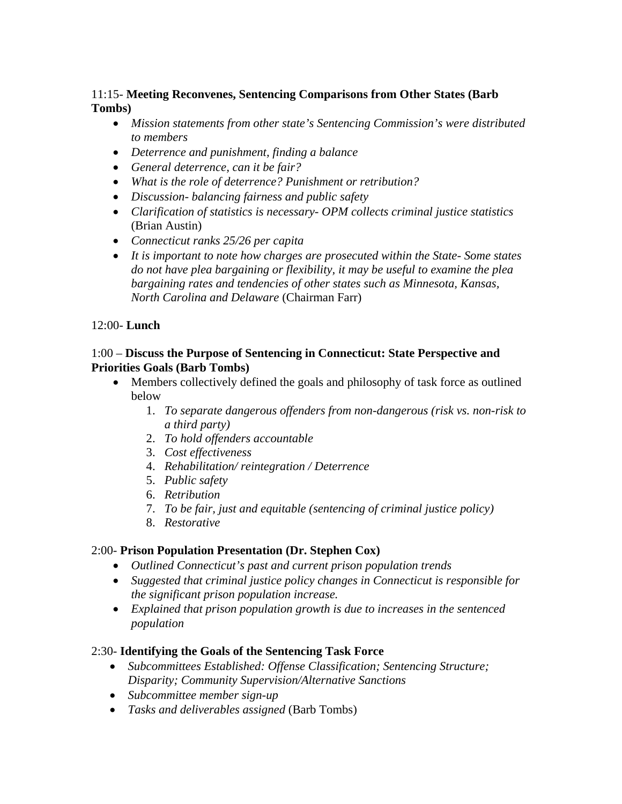## 11:15- **Meeting Reconvenes, Sentencing Comparisons from Other States (Barb Tombs)**

- *Mission statements from other state's Sentencing Commission's were distributed to members*
- *Deterrence and punishment, finding a balance*
- *General deterrence, can it be fair?*
- *What is the role of deterrence? Punishment or retribution?*
- *Discussion- balancing fairness and public safety*
- *Clarification of statistics is necessary- OPM collects criminal justice statistics*  (Brian Austin)
- *Connecticut ranks 25/26 per capita*
- *It is important to note how charges are prosecuted within the State- Some states do not have plea bargaining or flexibility, it may be useful to examine the plea bargaining rates and tendencies of other states such as Minnesota, Kansas, North Carolina and Delaware* (Chairman Farr)

#### 12:00- **Lunch**

## 1:00 – **Discuss the Purpose of Sentencing in Connecticut: State Perspective and Priorities Goals (Barb Tombs)**

- Members collectively defined the goals and philosophy of task force as outlined below
	- 1. *To separate dangerous offenders from non-dangerous (risk vs. non-risk to a third party)*
	- 2. *To hold offenders accountable*
	- 3. *Cost effectiveness*
	- 4. *Rehabilitation/ reintegration / Deterrence*
	- 5. *Public safety*
	- 6. *Retribution*
	- 7. *To be fair, just and equitable (sentencing of criminal justice policy)*
	- 8. *Restorative*

## 2:00- **Prison Population Presentation (Dr. Stephen Cox)**

- *Outlined Connecticut's past and current prison population trends*
- *Suggested that criminal justice policy changes in Connecticut is responsible for the significant prison population increase.*
- *Explained that prison population growth is due to increases in the sentenced population*

## 2:30- **Identifying the Goals of the Sentencing Task Force**

- *Subcommittees Established: Offense Classification; Sentencing Structure; Disparity; Community Supervision/Alternative Sanctions*
- *Subcommittee member sign-up*
- *Tasks and deliverables assigned* (Barb Tombs)